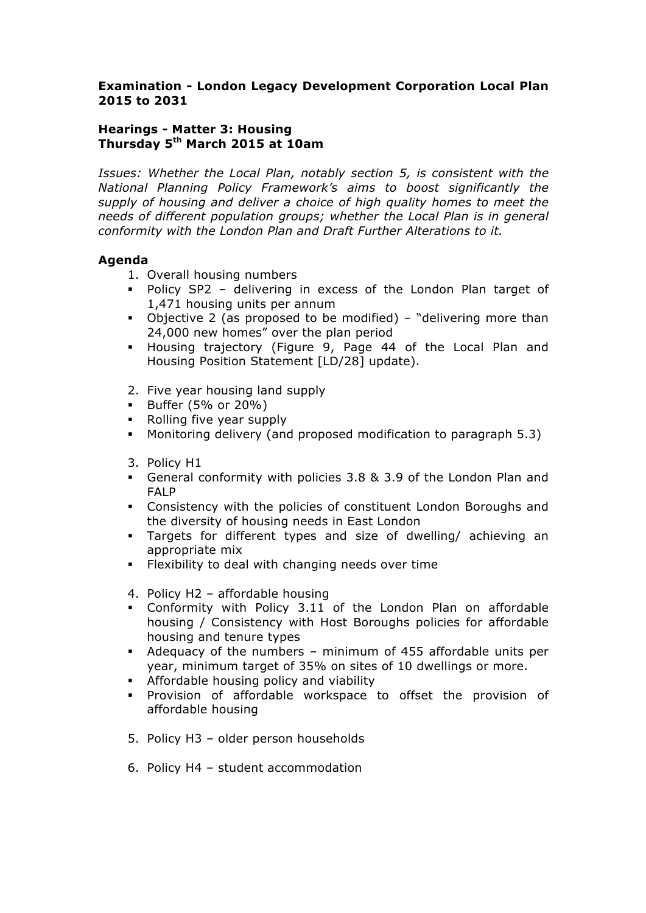## **Examination - London Legacy Development Corporation Local Plan 2015 to 2031**

## **Hearings - Matter 3: Housing Thursday 5th March 2015 at 10am**

*Issues: Whether the Local Plan, notably section 5, is consistent with the National Planning Policy Framework's aims to boost significantly the supply of housing and deliver a choice of high quality homes to meet the needs of different population groups; whether the Local Plan is in general conformity with the London Plan and Draft Further Alterations to it.*

## **Agenda**

- 1. Overall housing numbers
- § Policy SP2 delivering in excess of the London Plan target of 1,471 housing units per annum
- Objective 2 (as proposed to be modified) "delivering more than 24,000 new homes" over the plan period
- § Housing trajectory (Figure 9, Page 44 of the Local Plan and Housing Position Statement [LD/28] update).
- 2. Five year housing land supply
- § Buffer (5% or 20%)
- Rolling five year supply
- § Monitoring delivery (and proposed modification to paragraph 5.3)
- 3. Policy H1
- § General conformity with policies 3.8 & 3.9 of the London Plan and FALP
- § Consistency with the policies of constituent London Boroughs and the diversity of housing needs in East London
- § Targets for different types and size of dwelling/ achieving an appropriate mix
- **•** Flexibility to deal with changing needs over time
- 4. Policy H2 affordable housing
- § Conformity with Policy 3.11 of the London Plan on affordable housing / Consistency with Host Boroughs policies for affordable housing and tenure types
- § Adequacy of the numbers minimum of 455 affordable units per year, minimum target of 35% on sites of 10 dwellings or more.
- **•** Affordable housing policy and viability
- § Provision of affordable workspace to offset the provision of affordable housing
- 5. Policy H3 older person households
- 6. Policy H4 student accommodation